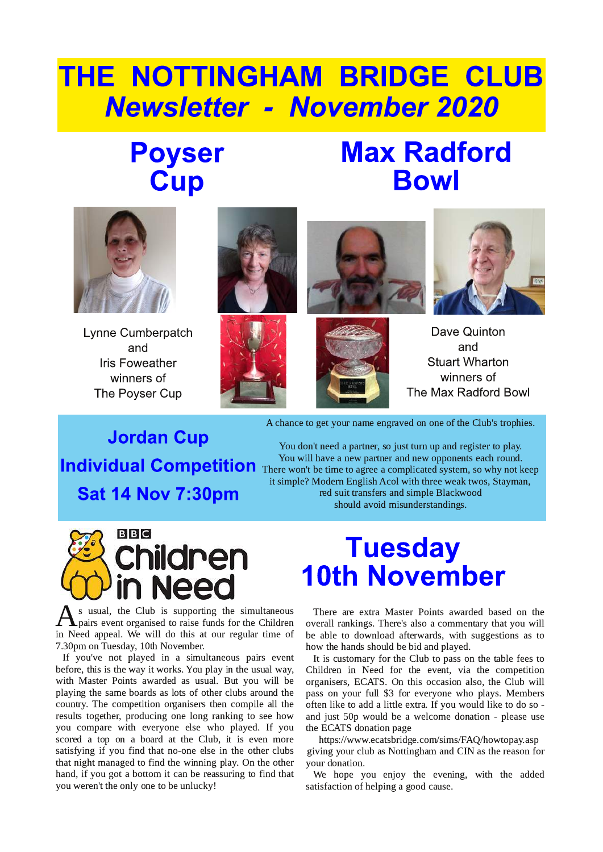# THE NOTTINGHAM BRIDGE CLUB **Newsletter - November 2020**

### **Poyser** Cup

## **Max Radford Bowl**



Lynne Cumberpatch and **Iris Foweather** winners of The Poyser Cup









Dave Quinton and **Stuart Wharton** winners of The Max Radford Bowl

**Jordan Cup Sat 14 Nov 7:30pm** 

A chance to get your name engraved on one of the Club's trophies.

You don't need a partner, so just turn up and register to play. You will have a new partner and new opponents each round. You will have a new partner and new opponents each round. There won't be time to agree a complicated system, so why not keep it simple? Modern English Acol with three weak twos, Stayman, red suit transfers and simple Blackwood should avoid misunderstandings.



**Tuesday 10th November** 

S usual, the Club is supporting the simultaneous<br>pairs event organised to raise funds for the Children<br>in Need anneal We will do this at our regular time of s usual, the Club is supporting the simultaneous in Need appeal. We will do this at our regular time of 7.30pm on Tuesday, 10th November.

If you've not played in a simultaneous pairs event before, this is the way it works. You play in the usual way, with Master Points awarded as usual. But you will be playing the same boards as lots of other clubs around the country. The competition organisers then compile all the results together, producing one long ranking to see how you compare with everyone else who played. If you scored a top on a board at the Club, it is even more satisfying if you find that no-one else in the other clubs that night managed to find the winning play. On the other hand, if you got a bottom it can be reassuring to find that you weren't the only one to be unlucky!

There are extra Master Points awarded based on the overall rankings. There's also a commentary that you will be able to download afterwards, with suggestions as to how the hands should be bid and played.

It is customary for the Club to pass on the table fees to Children in Need for the event, via the competition organisers, ECATS. On this occasion also, the Club will pass on your full \$3 for everyone who plays. Members often like to add a little extra. If you would like to do so and just 50p would be a welcome donation - please use the ECATS donation page

https://www.ecatsbridge.com/sims/FAQ/howtopay.asp giving your club as Nottingham and CIN as the reason for your donation.

We hope you enjoy the evening, with the added satisfaction of helping a good cause.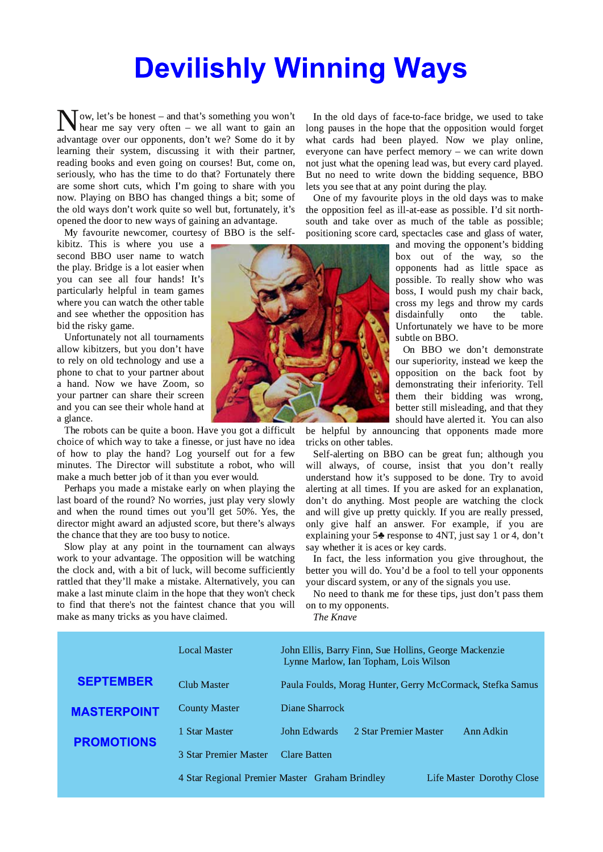# **Devilishly Winning Ways**

**N** ow, let's be honest – and that's something you won't hear me say very often – we all want to gain an advantage over our opponents, don't we? Some do it by  $\int$  ow, let's be honest – and that's something you won't  $\sqrt{\frac{3}{2}}$  hear me say very often – we all want to gain an learning their system, discussing it with their partner, reading books and even going on courses! But, come on, seriously, who has the time to do that? Fortunately there are some short cuts, which I'm going to share with you now. Playing on BBO has changed things a bit; some of the old ways don't work quite so well but, fortunately, it's opened the door to new ways of gaining an advantage.

My favourite newcomer, courtesy of BBO is the self-

kibitz. This is where you use a second BBO user name to watch the play. Bridge is a lot easier when you can see all four hands! It's particularly helpful in team games where you can watch the other table and see whether the opposition has bid the risky game.

Unfortunately not all tournaments allow kibitzers, but you don't have to rely on old technology and use a phone to chat to your partner about a hand. Now we have Zoom, so your partner can share their screen and you can see their whole hand at a glance.

The robots can be quite a boon. Have you got a difficult choice of which way to take a finesse, or just have no idea of how to play the hand? Log yourself out for a few minutes. The Director will substitute a robot, who will make a much better job of it than you ever would.

Perhaps you made a mistake early on when playing the last board of the round? No worries, just play very slowly and when the round times out you'll get 50%. Yes, the director might award an adjusted score, but there's always the chance that they are too busy to notice.

Slow play at any point in the tournament can always work to your advantage. The opposition will be watching the clock and, with a bit of luck, will become sufficiently rattled that they'll make a mistake. Alternatively, you can make a last minute claim in the hope that they won't check to find that there's not the faintest chance that you will make as many tricks as you have claimed.

In the old days of face-to-face bridge, we used to take long pauses in the hope that the opposition would forget what cards had been played. Now we play online, everyone can have perfect memory  $-$  we can write down not just what the opening lead was, but every card played. But no need to write down the bidding sequence, BBO lets you see that at any point during the play.

One of my favourite ploys in the old days was to make the opposition feel as ill-at-ease as possible. I'd sit northsouth and take over as much of the table as possible: positioning score card, spectacles case and glass of water,

> and moving the opponent's bidding box out of the way, so the opponents had as little space as possible. To really show who was boss, I would push my chair back, cross my legs and throw my cards disdainfully onto the table. Unfortunately we have to be more subtle on BBO.

> On BBO we don't demonstrate our superiority, instead we keep the opposition on the back foot by demonstrating their inferiority. Tell them their bidding was wrong, better still misleading, and that they should have alerted it. You can also

be helpful by announcing that opponents made more tricks on other tables.

Self-alerting on BBO can be great fun; although you will always, of course, insist that you don't really understand how it's supposed to be done. Try to avoid alerting at all times. If you are asked for an explanation, don't do anything. Most people are watching the clock and will give up pretty quickly. If you are really pressed, only give half an answer. For example, if you are explaining your 5<sup> $\bullet$ </sup> response to 4NT, just say 1 or 4, don't say whether it is aces or key cards.

In fact, the less information you give throughout, the better you will do. You'd be a fool to tell your opponents your discard system, or any of the signals you use.

No need to thank me for these tips, just don't pass them on to my opponents.

The Knave

|                    | <b>Local Master</b>                                                         | John Ellis, Barry Finn, Sue Hollins, George Mackenzie<br>Lynne Marlow, Ian Topham, Lois Wilson |                       |           |
|--------------------|-----------------------------------------------------------------------------|------------------------------------------------------------------------------------------------|-----------------------|-----------|
| <b>SEPTEMBER</b>   | Club Master                                                                 | Paula Foulds, Morag Hunter, Gerry McCormack, Stefka Samus                                      |                       |           |
| <b>MASTERPOINT</b> | <b>County Master</b>                                                        | Diane Sharrock                                                                                 |                       |           |
| <b>PROMOTIONS</b>  | 1 Star Master                                                               | John Edwards                                                                                   | 2 Star Premier Master | Ann Adkin |
|                    | 3 Star Premier Master                                                       | Clare Batten                                                                                   |                       |           |
|                    | 4 Star Regional Premier Master Graham Brindley<br>Life Master Dorothy Close |                                                                                                |                       |           |

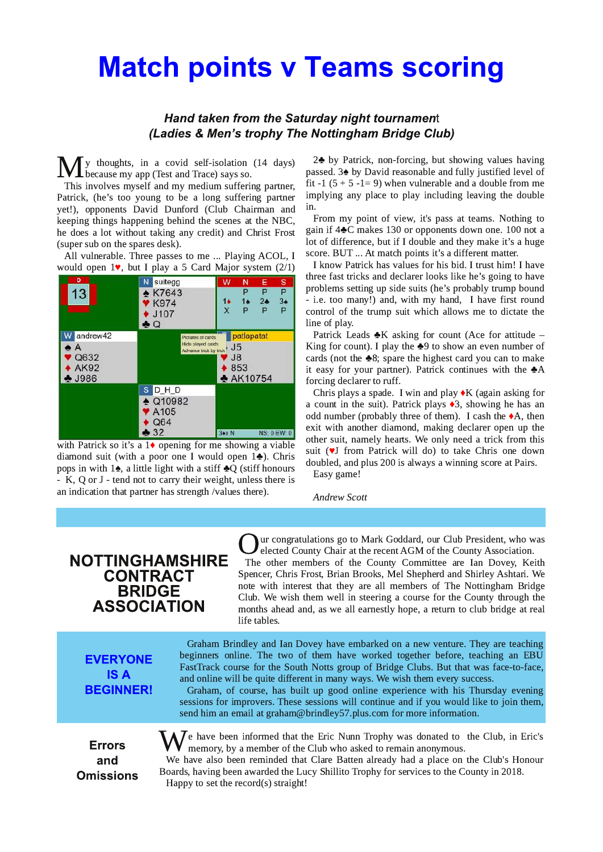### **Match points v Teams scoring**

#### **Hand taken from the Saturday night tournament** (Ladies & Men's trophy The Nottingham Bridge Club)

 $\mathbf{M}$ y thoughts, in a covid self-isolation (14 days)<br>because my app (Test and Trace) says so.

This involves myself and my medium suffering partner, Patrick, (he's too young to be a long suffering partner yet!), opponents David Dunford (Club Chairman and keeping things happening behind the scenes at the NBC, he does a lot without taking any credit) and Christ Frost (super sub on the spares desk).

All vulnerable. Three passes to me ... Playing ACOL, I . . would open  $1$ , but I play a 5 Card Major system (2/1)



with Patrick so it's a  $1\blacklozenge$  opening for me showing a viable diamond suit (with a poor one I would open 1 $\clubsuit$ ). Chris pops in with  $1\spadesuit$ , a little light with a stiff  $\clubsuit Q$  (stiff honours  $-$  K, Q or J  $-$  tend not to carry their weight, unless there is an indication that partner has strength /values there).

2<sup> $\bullet$ </sup> by Patrick, non-forcing, but showing values having passed.  $3\blacktriangle$  by David reasonable and fully justified level of fit -1  $(5 + 5 - 1 = 9)$  when vulnerable and a double from me implying any place to play including leaving the double in.

From my point of view, it's pass at teams. Nothing to gain if  $4\clubsuit$ C makes 130 or opponents down one. 100 not a lot of difference, but if I double and they make it's a huge score. BUT ... At match points it's a different matter. . .

I know Patrick has values for his bid. I trust him! I have three fast tricks and declarer looks like he's going to have problems setting up side suits (he's probably trump bound - i.e. too many!) and, with my hand, I have first round control of the trump suit which allows me to dictate the line of play.

Patrick Leads  $\clubsuit K$  asking for count (Ace for attitude  $-$ King for count). I play the  $\clubsuit$ 9 to show an even number of cards (not the  $\clubsuit 8$ ; spare the highest card you can to make it easy for your partner). Patrick continues with the  $\clubsuit A$ forcing declarer to ruff.

Chris plays a spade. I win and play  $\blacklozenge K$  (again asking for a count in the suit). Patrick plays  $\triangleleft$ 3, showing he has an odd number (probably three of them). I cash the  $\blacklozenge$ A, then exit with another diamond, making declarer open up the other suit, namely hearts. We only need a trick from this suit (VJ from Patrick will do) to take Chris one down doubled, and plus 200 is always a winning score at Pairs. Easy game!

**Andrew Scott** 

### **NOTTINGHAMSHIRE CONTRACT BRIDGE ASSOCIATION**

**Q**ur congratulations go to Mark Goddard, our Club President, who was elected County Chair at the recent AGM of the County Association.<br>The other members of the County Committee are Ian Dovey, Keith ur congratulations go to Mark Goddard, our Club President, who was elected County Chair at the recent AGM of the County Association.

Spencer, Chris Frost, Brian Brooks, Mel Shepherd and Shirley Ashtari. We note with interest that they are all members of The Nottingham Bridge Club. We wish them well in steering a course for the County through the months ahead and, as we all earnestly hope, a return to club bridge at real life tables.

#### **EVERYONE ISA BEGINNER!**

Graham Brindley and Ian Dovey have embarked on a new venture. They are teaching beginners online. The two of them have worked together before, teaching an EBU FastTrack course for the South Notts group of Bridge Clubs. But that was face-to-face, and online will be quite different in many ways. We wish them every success.

Graham, of course, has built up good online experience with his Thursday evening sessions for improvers. These sessions will continue and if you would like to join them, send him an email at graham@brindley57.plus.com for more information.

**Errors** and **Omissions**   $\Lambda$   $\overline{J}$ e have been informed that the Eric Nunn Trophy was donated to the Club, in Eric's memory, by a member of the Club who asked to remain anonymous.

We have also been reminded that Clare Batten already had a place on the Club's Honour Boards, having been awarded the Lucy Shillito Trophy for services to the County in 2018. Happy to set the record(s) straight!